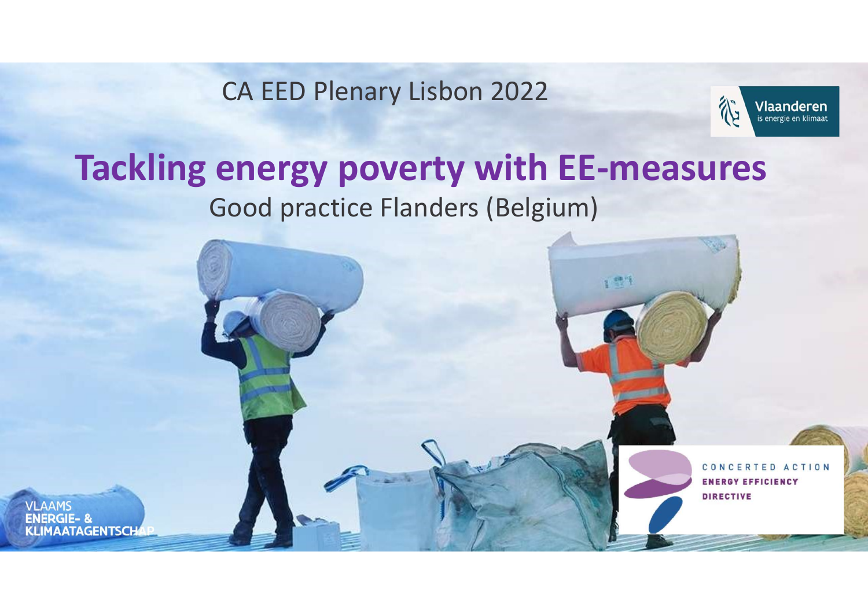CA EED Plenary Lisbon 2022

**VLAAMS** 



### Tackling energy poverty with EE-measures Good practice Flanders (Belgium)

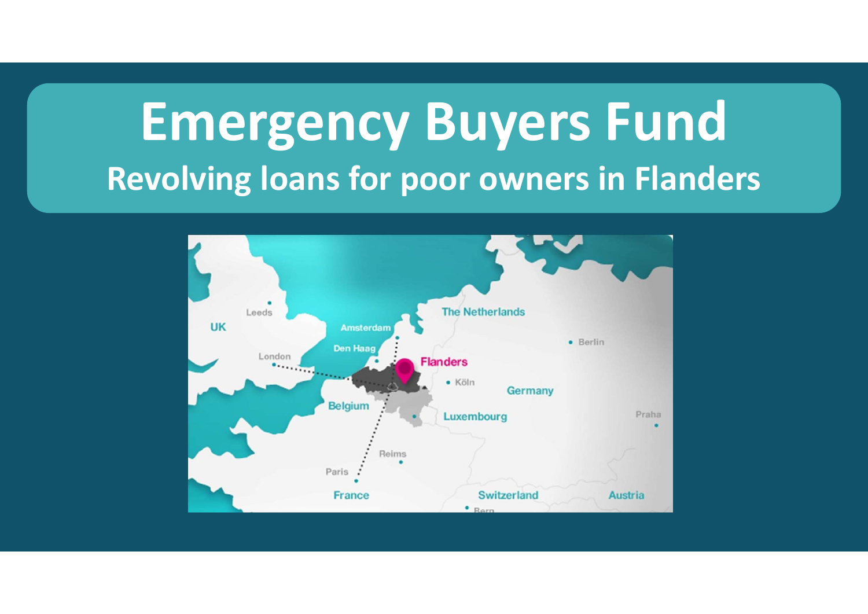# Emergency Buyers Fund Revolving loans for poor owners in Flanders

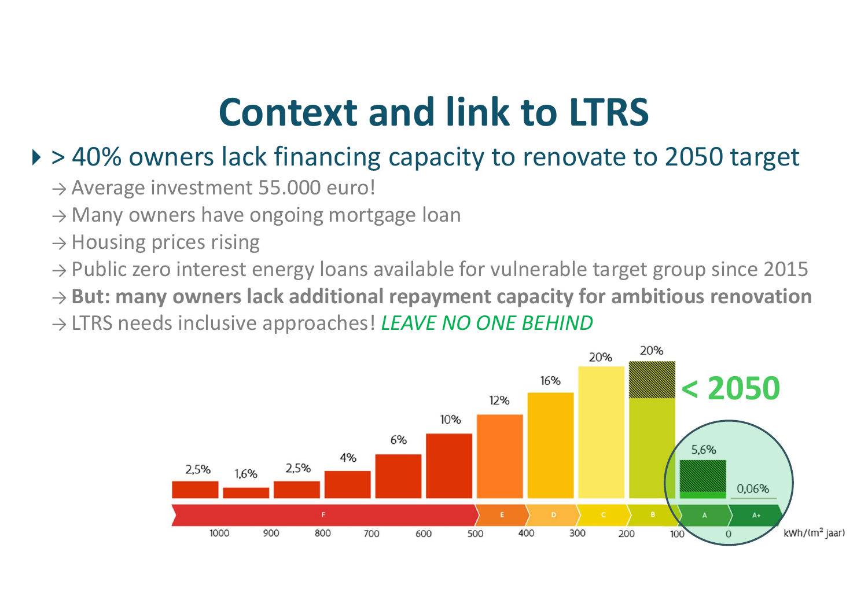### Context and link to LTRS

#### ▶ > 40% owners lack financing capacity to renovate to 2050 target

- $\rightarrow$  Average investment 55.000 euro!
- $\rightarrow$  Many owners have ongoing mortgage loan
- $\rightarrow$  Housing prices rising
- $\rightarrow$  Public zero interest energy loans available for vulnerable target group since 2015
- $\rightarrow$  But: many owners lack additional repayment capacity for ambitious renovation
- → LTRS needs inclusive approaches! LEAVE NO ONE BEHIND

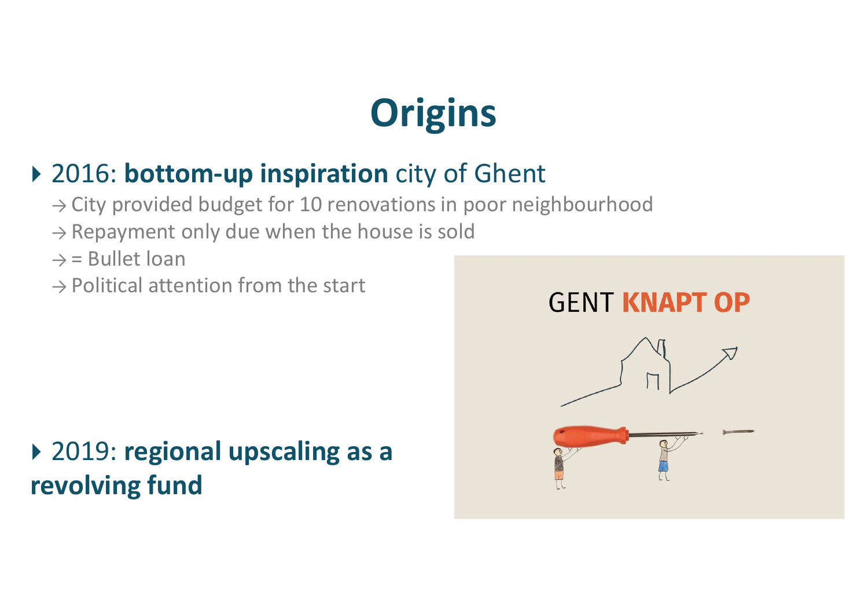# **Origins**

#### ▶ 2016: bottom-up inspiration city of Ghent

- $\rightarrow$  City provided budget for 10 renovations in poor neighbourhood
- $\rightarrow$  Repayment only due when the house is sold
- $\rightarrow$  = Bullet loan
- $\rightarrow$  Political attention from the start

### ▶ 2019: regional upscaling as a revolving fund

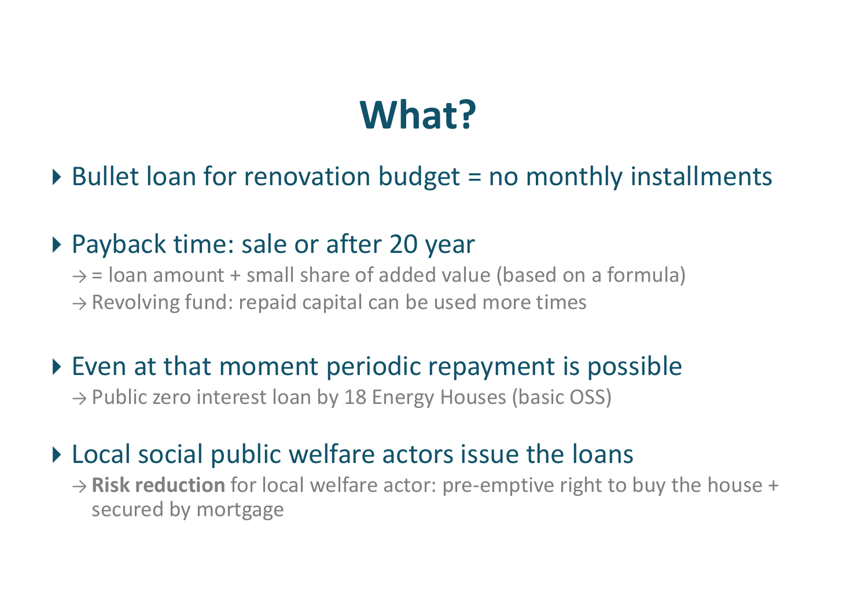### What?

#### $\triangleright$  Bullet loan for renovation budget = no monthly installments

#### ▶ Payback time: sale or after 20 year

 $\rightarrow$  = loan amount + small share of added value (based on a formula)  $\rightarrow$  Revolving fund: repaid capital can be used more times

#### ▶ Even at that moment periodic repayment is possible

 $\rightarrow$  Public zero interest loan by 18 Energy Houses (basic OSS)

#### ▶ Local social public welfare actors issue the loans

 $\rightarrow$  Risk reduction for local welfare actor: pre-emptive right to buy the house + secured by mortgage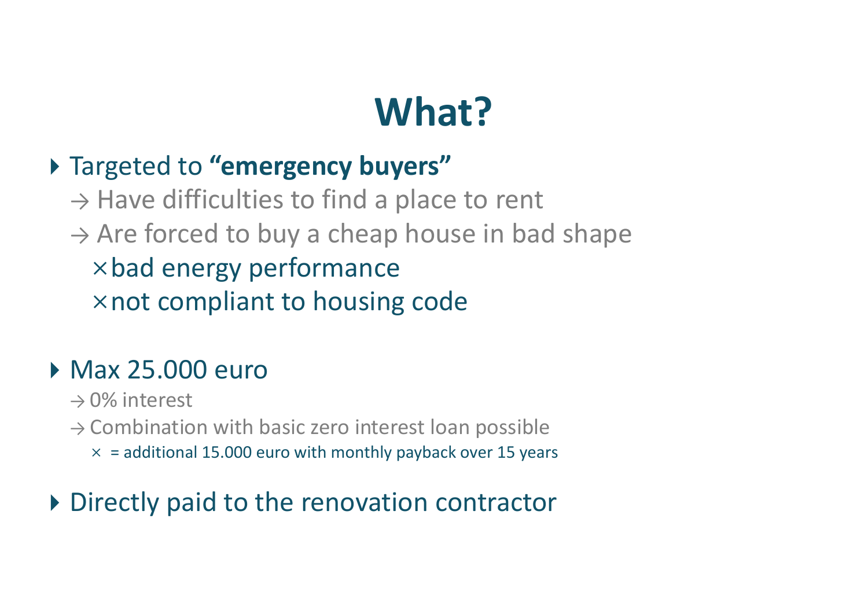# What?

#### > Targeted to "emergency buyers"

 $\rightarrow$  Have difficulties to find a place to rent

 $\rightarrow$  Are forced to buy a cheap house in bad shape bad energy performance  $\times$  not compliant to housing code

#### Max 25.000 euro

- $\rightarrow$  0% interest
- $\rightarrow$  Combination with basic zero interest loan possible
	- $\times$  = additional 15.000 euro with monthly payback over 15 years

#### ▶ Directly paid to the renovation contractor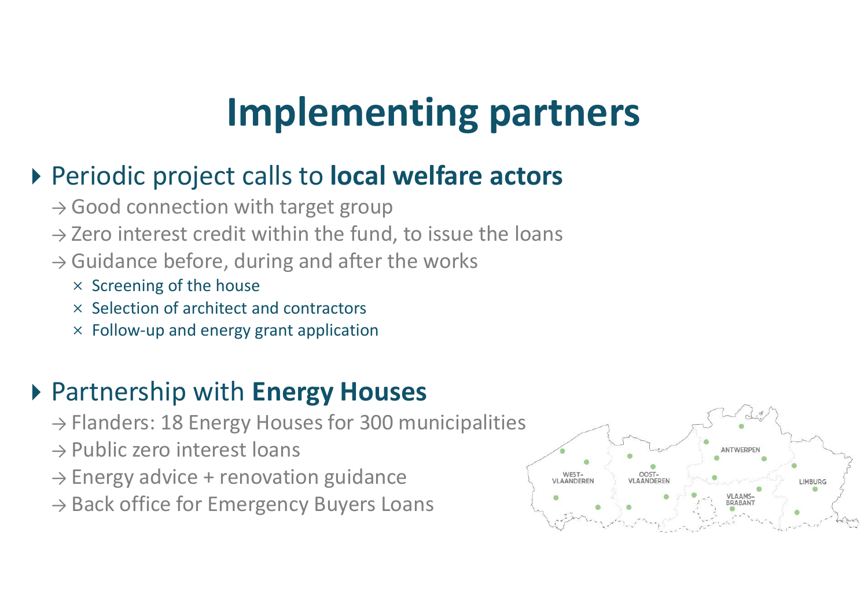### Implementing partners

#### ▶ Periodic project calls to **local welfare actors**

- $\rightarrow$  Good connection with target group
- $\rightarrow$  Zero interest credit within the fund, to issue the loans
- $\rightarrow$  Guidance before, during and after the works
	- $\times$  Screening of the house
	- $\times$  Selection of architect and contractors
	- $\times$  Follow-up and energy grant application

#### ▶ Partnership with Energy Houses

- $\rightarrow$  Flanders: 18 Energy Houses for 300 municipalities
- $\rightarrow$  Public zero interest loans
- → Energy advice + renovation guidance
- $\rightarrow$  Back office for Emergency Buyers Loans

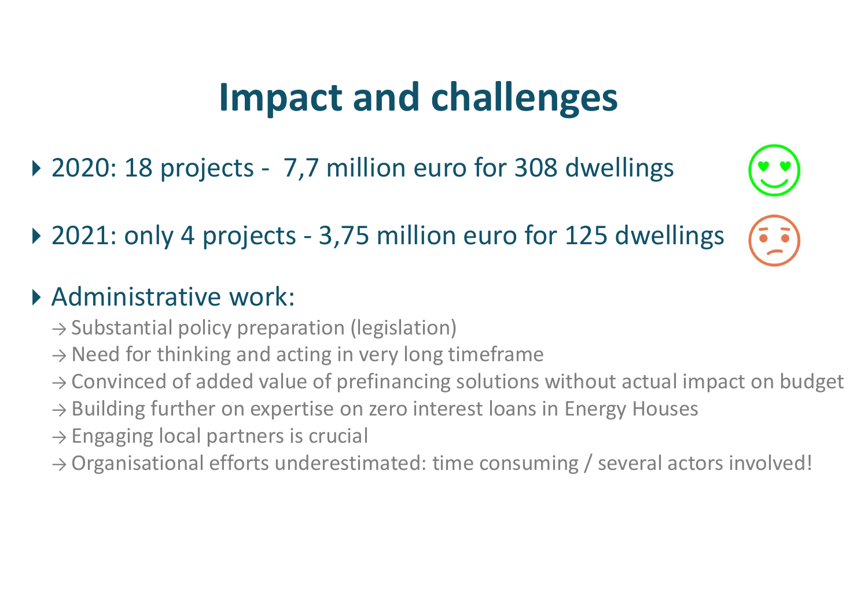### Impact and challenges

- 
- **Impact and challenges**<br>
2020: 18 projects 7,7 million euro for 308 dwellings<br>
2021: only 4 projects 3,75 million euro for 125 dwellings **Impact and challenges**<br>
2020: 18 projects - 7,7 million euro for 308 dwellings<br>
2021: only 4 projects - 3,75 million euro for 125 dwellings<br>
Administrative work:

#### Administrative work:

- $\rightarrow$  Substantial policy preparation (legislation)
- $\rightarrow$  Need for thinking and acting in very long timeframe
- $\rightarrow$  Convinced of added value of prefinancing solutions without actual impact on budget
- $\rightarrow$  Building further on expertise on zero interest loans in Energy Houses
- $\rightarrow$  Engaging local partners is crucial
- $\rightarrow$  Organisational efforts underestimated: time consuming / several actors involved!

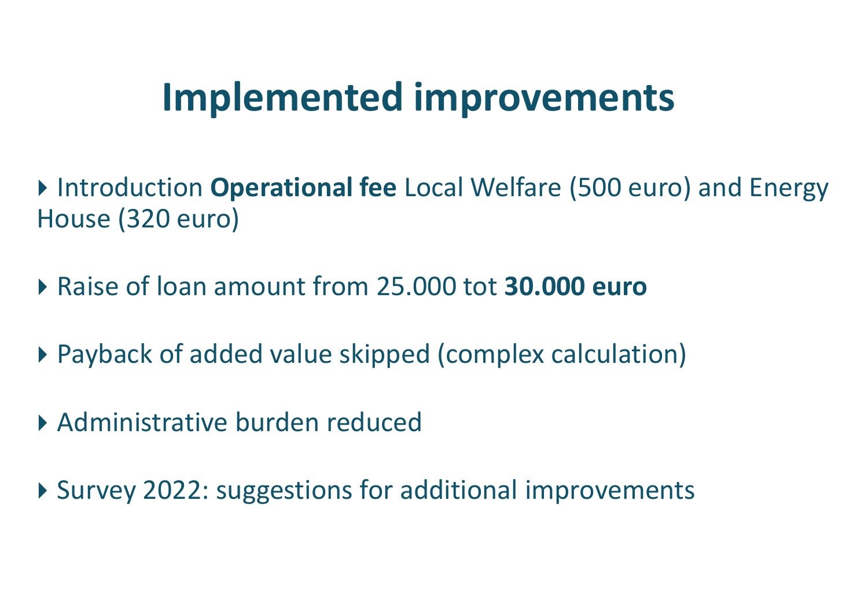### Implemented improvements

- ▶ Introduction Operational fee Local Welfare (500 euro) and Energy House (320 euro)
- ▶ Raise of loan amount from 25,000 tot 30,000 euro
- Payback of added value skipped (complex calculation)
- Administrative burden reduced
- ▶ Survey 2022: suggestions for additional improvements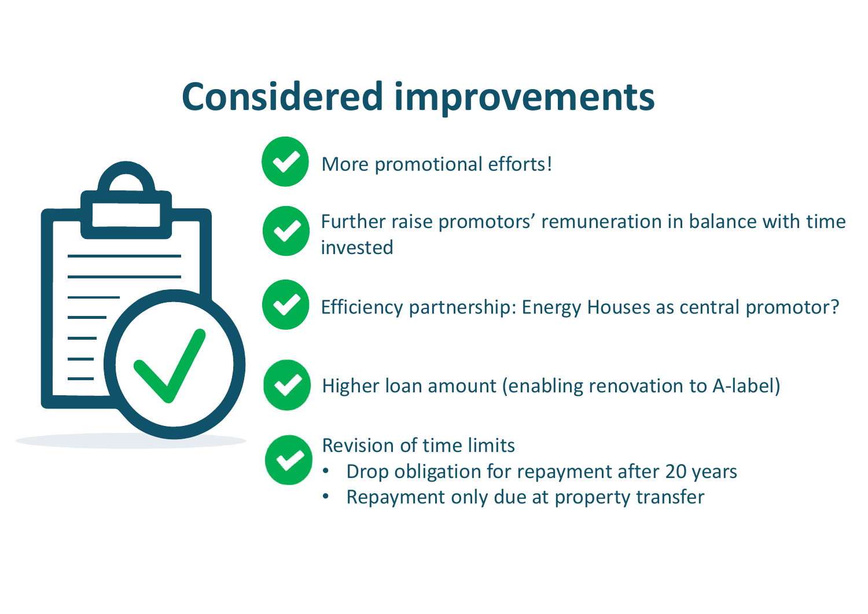### Considered improvements





Further raise promotors' remuneration in balance with time invested

Efficiency partnership: Energy Houses as central promotor?

Higher loan amount (enabling renovation to A-label)

#### Revision of time limits

- Drop obligation for repayment after 20 years
- Repayment only due at property transfer